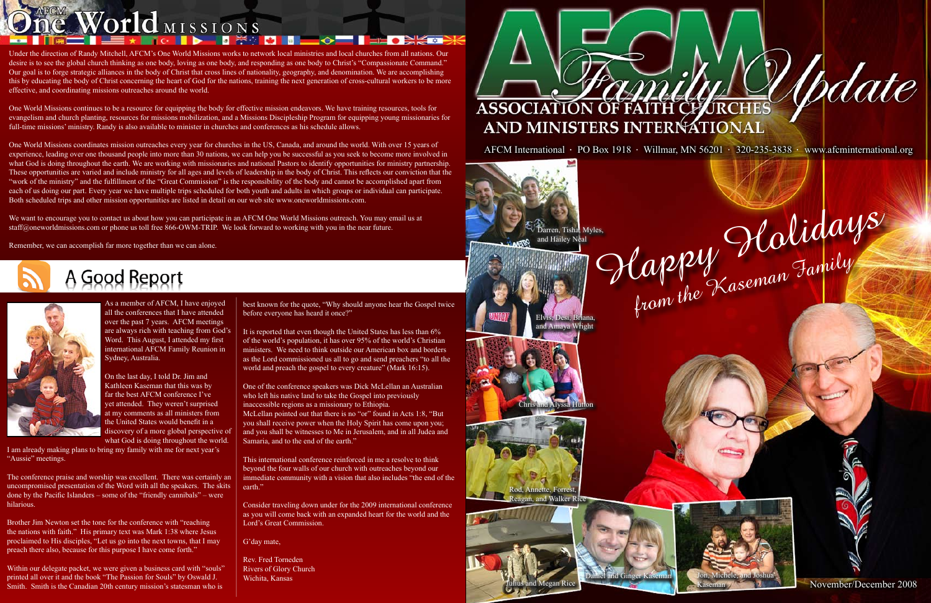November/December 2008

As a member of AFCM, I have enjoyed all the conferences that I have attended over the past 7 years. AFCM meetings are always rich with teaching from God's Word. This August, I attended my first international AFCM Family Reunion in Sydney, Australia.

On the last day, I told Dr. Jim and Kathleen Kaseman that this was by far the best AFCM conference I've yet attended. They weren't surprised at my comments as all ministers from the United States would benefit in a discovery of a more global perspective of what God is doing throughout the world.

I am already making plans to bring my family with me for next year's "Aussie" meetings.

It is reported that even though the United States has less than 6% of the world's population, it has over 95% of the world's Christian ministers. We need to think outside our American box and borders as the Lord commissioned us all to go and send preachers "to all the world and preach the gospel to every creature" (Mark 16:15).

The conference praise and worship was excellent. There was certainly an uncompromised presentation of the Word with all the speakers. The skits done by the Pacific Islanders – some of the "friendly cannibals" – were hilarious.

Brother Jim Newton set the tone for the conference with "reaching the nations with faith." His primary text was Mark 1:38 where Jesus proclaimed to His disciples, "Let us go into the next towns, that I may preach there also, because for this purpose I have come forth."

Within our delegate packet, we were given a business card with "souls" printed all over it and the book "The Passion for Souls" by Oswald J. Smith. Smith is the Canadian 20th century mission's statesman who is

best known for the quote, "Why should anyone hear the Gospel twice before everyone has heard it once?"

One of the conference speakers was Dick McLellan an Australian who left his native land to take the Gospel into previously inaccessible regions as a missionary to Ethiopia. McLellan pointed out that there is no "or" found in Acts 1:8, "But you shall receive power when the Holy Spirit has come upon you; and you shall be witnesses to Me in Jerusalem, and in all Judea and Samaria, and to the end of the earth."

We want to encourage you to contact us about how you can participate in an AFCM One World Missions outreach. You may email us at staff@oneworldmissions.com or phone us toll free 866-OWM-TRIP. We look forward to working with you in the near future.





This international conference reinforced in me a resolve to think beyond the four walls of our church with outreaches beyond our immediate community with a vision that also includes "the end of the earth."

Consider traveling down under for the 2009 international conference as you will come back with an expanded heart for the world and the Lord's Great Commission.

G'day mate,

Rev. Fred Torneden Rivers of Glory Church Wichita, Kansas



## One World MISSIONS<br>Under the direction of Randy Mitchell, AFCM's One World Missions works to network local ministries and local churches from all nations. Our

desire is to see the global church thinking as one body, loving as one body, and responding as one body to Christ's "Compassionate Command." Our goal is to forge strategic alliances in the body of Christ that cross lines of nationality, geography, and denomination. We are accomplishing this by educating the body of Christ concerning the heart of God for the nations, training the next generation of cross-cultural workers to be more effective, and coordinating missions outreaches around the world.

One World Missions continues to be a resource for equipping the body for effective mission endeavors. We have training resources, tools for evangelism and church planting, resources for missions mobilization, and a Missions Discipleship Program for equipping young missionaries for full-time missions' ministry. Randy is also available to minister in churches and conferences as his schedule allows.

One World Missions coordinates mission outreaches every year for churches in the US, Canada, and around the world. With over 15 years of experience, leading over one thousand people into more than 30 nations, we can help you be successful as you seek to become more involved in what God is doing throughout the earth. We are working with missionaries and national Pastors to identify opportunities for ministry partnership. These opportunities are varied and include ministry for all ages and levels of leadership in the body of Christ. This reflects our conviction that the "work of the ministry" and the fulfillment of the "Great Commission" is the responsibility of the body and cannot be accomplished apart from each of us doing our part. Every year we have multiple trips scheduled for both youth and adults in which groups or individual can participate. Both scheduled trips and other mission opportunities are listed in detail on our web site www.oneworldmissions.com.

> Darren, Tisha, Myles, and Hailey Neal

and Amaya Wright

Annette, Forrest agan, and Walker Rice





Chris and Alyssa Hutton

AFCM International · PO Box 1918 · Willmar, MN 56201 · 320-235-3838 · www.afcminternational.org

# Ne want to encourage you to contact us about how you can participate in an AFCM One World Missions outreach. You may email us at<br>Remember, we can accomplish far more together than we can alone.<br>Remember, we can accomplish Elvis, Desi, Briana,

*Vodate* 

Julius and Megan Rice

nd Ginger Kaser